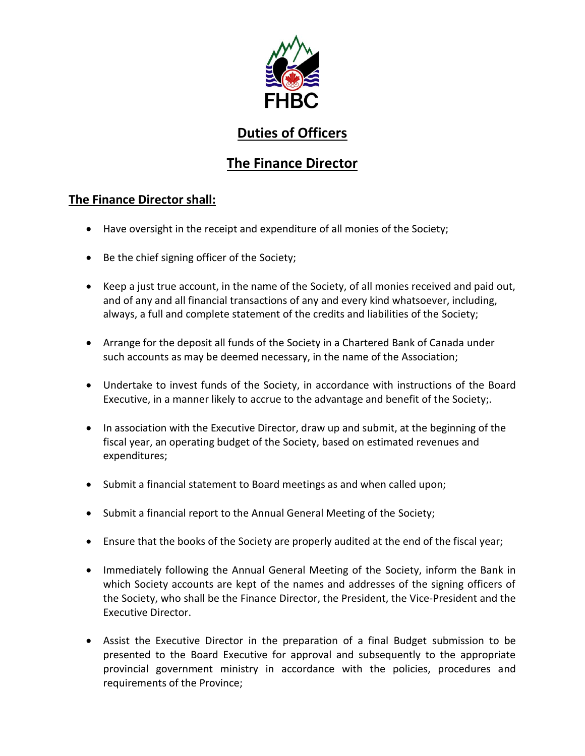

# **Duties of Officers**

## **The Finance Director**

### **The Finance Director shall:**

- Have oversight in the receipt and expenditure of all monies of the Society;
- Be the chief signing officer of the Society;
- Keep a just true account, in the name of the Society, of all monies received and paid out, and of any and all financial transactions of any and every kind whatsoever, including, always, a full and complete statement of the credits and liabilities of the Society;
- Arrange for the deposit all funds of the Society in a Chartered Bank of Canada under such accounts as may be deemed necessary, in the name of the Association;
- Undertake to invest funds of the Society, in accordance with instructions of the Board Executive, in a manner likely to accrue to the advantage and benefit of the Society;.
- In association with the Executive Director, draw up and submit, at the beginning of the fiscal year, an operating budget of the Society, based on estimated revenues and expenditures;
- Submit a financial statement to Board meetings as and when called upon;
- Submit a financial report to the Annual General Meeting of the Society;
- Ensure that the books of the Society are properly audited at the end of the fiscal year;
- Immediately following the Annual General Meeting of the Society, inform the Bank in which Society accounts are kept of the names and addresses of the signing officers of the Society, who shall be the Finance Director, the President, the Vice-President and the Executive Director.
- Assist the Executive Director in the preparation of a final Budget submission to be presented to the Board Executive for approval and subsequently to the appropriate provincial government ministry in accordance with the policies, procedures and requirements of the Province;